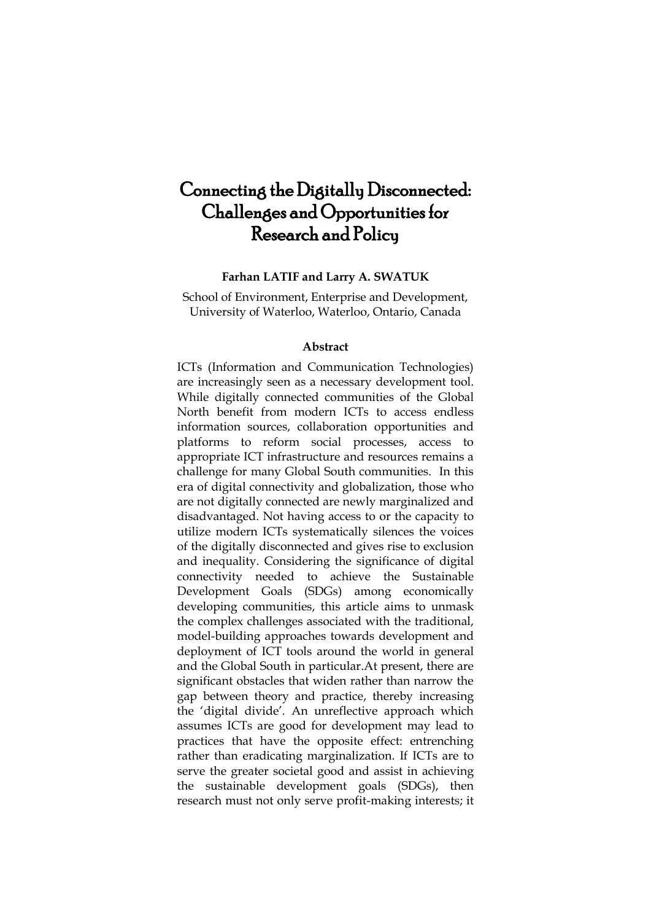# Connecting the Digitally Disconnected: Challenges and Opportunities for Research and Policy

#### **Farhan LATIF and Larry A. SWATUK**

School of Environment, Enterprise and Development, University of Waterloo, Waterloo, Ontario, Canada

#### **Abstract**

ICTs (Information and Communication Technologies) are increasingly seen as a necessary development tool. While digitally connected communities of the Global North benefit from modern ICTs to access endless information sources, collaboration opportunities and platforms to reform social processes, access to appropriate ICT infrastructure and resources remains a challenge for many Global South communities. In this era of digital connectivity and globalization, those who are not digitally connected are newly marginalized and disadvantaged. Not having access to or the capacity to utilize modern ICTs systematically silences the voices of the digitally disconnected and gives rise to exclusion and inequality. Considering the significance of digital connectivity needed to achieve the Sustainable Development Goals (SDGs) among economically developing communities, this article aims to unmask the complex challenges associated with the traditional, model-building approaches towards development and deployment of ICT tools around the world in general and the Global South in particular.At present, there are significant obstacles that widen rather than narrow the gap between theory and practice, thereby increasing the "digital divide". An unreflective approach which assumes ICTs are good for development may lead to practices that have the opposite effect: entrenching rather than eradicating marginalization. If ICTs are to serve the greater societal good and assist in achieving the sustainable development goals (SDGs), then research must not only serve profit-making interests; it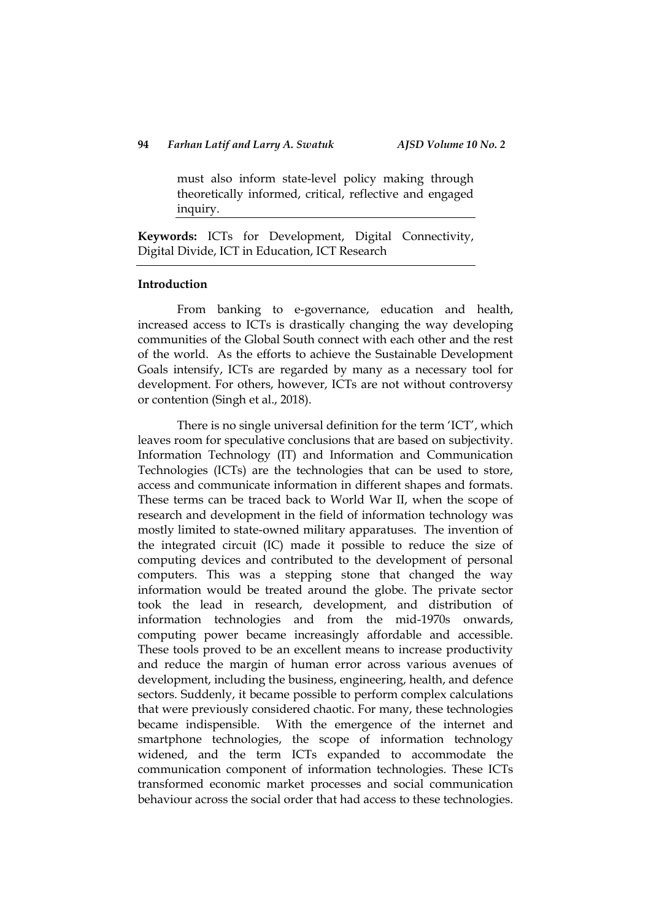must also inform state-level policy making through theoretically informed, critical, reflective and engaged inquiry.

**Keywords:** ICTs for Development, Digital Connectivity, Digital Divide, ICT in Education, ICT Research

#### **Introduction**

From banking to e-governance, education and health, increased access to ICTs is drastically changing the way developing communities of the Global South connect with each other and the rest of the world. As the efforts to achieve the Sustainable Development Goals intensify, ICTs are regarded by many as a necessary tool for development. For others, however, ICTs are not without controversy or contention (Singh et al., 2018).

There is no single universal definition for the term "ICT", which leaves room for speculative conclusions that are based on subjectivity. Information Technology (IT) and Information and Communication Technologies (ICTs) are the technologies that can be used to store, access and communicate information in different shapes and formats. These terms can be traced back to World War II, when the scope of research and development in the field of information technology was mostly limited to state-owned military apparatuses. The invention of the integrated circuit (IC) made it possible to reduce the size of computing devices and contributed to the development of personal computers. This was a stepping stone that changed the way information would be treated around the globe. The private sector took the lead in research, development, and distribution of information technologies and from the mid-1970s onwards, computing power became increasingly affordable and accessible. These tools proved to be an excellent means to increase productivity and reduce the margin of human error across various avenues of development, including the business, engineering, health, and defence sectors. Suddenly, it became possible to perform complex calculations that were previously considered chaotic. For many, these technologies became indispensible. With the emergence of the internet and smartphone technologies, the scope of information technology widened, and the term ICTs expanded to accommodate the communication component of information technologies. These ICTs transformed economic market processes and social communication behaviour across the social order that had access to these technologies.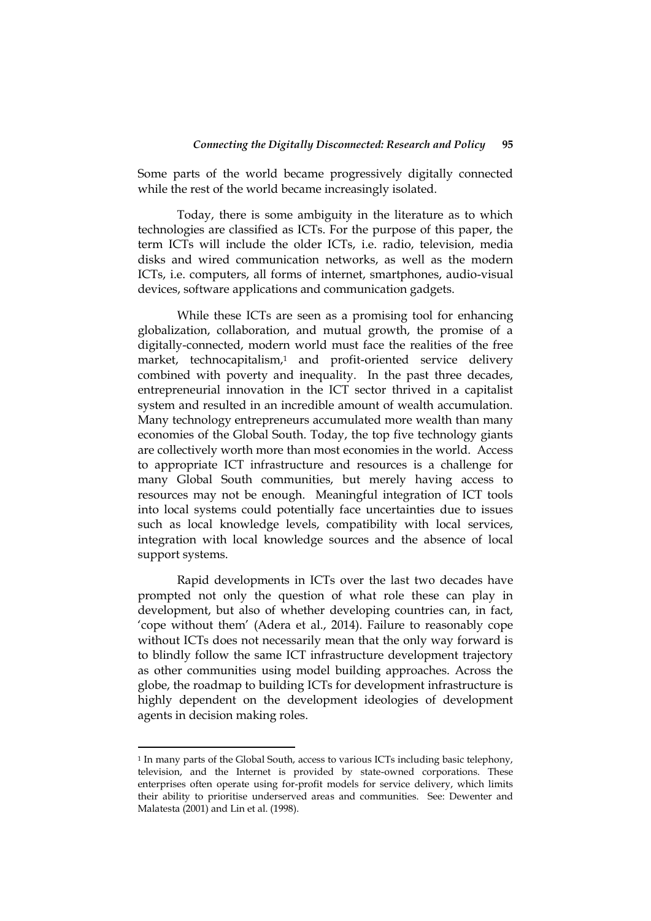Some parts of the world became progressively digitally connected while the rest of the world became increasingly isolated.

Today, there is some ambiguity in the literature as to which technologies are classified as ICTs. For the purpose of this paper, the term ICTs will include the older ICTs, i.e. radio, television, media disks and wired communication networks, as well as the modern ICTs, i.e. computers, all forms of internet, smartphones, audio-visual devices, software applications and communication gadgets.

While these ICTs are seen as a promising tool for enhancing globalization, collaboration, and mutual growth, the promise of a digitally-connected, modern world must face the realities of the free market, technocapitalism,<sup>1</sup> and profit-oriented service delivery combined with poverty and inequality. In the past three decades, entrepreneurial innovation in the ICT sector thrived in a capitalist system and resulted in an incredible amount of wealth accumulation. Many technology entrepreneurs accumulated more wealth than many economies of the Global South. Today, the top five technology giants are collectively worth more than most economies in the world. Access to appropriate ICT infrastructure and resources is a challenge for many Global South communities, but merely having access to resources may not be enough. Meaningful integration of ICT tools into local systems could potentially face uncertainties due to issues such as local knowledge levels, compatibility with local services, integration with local knowledge sources and the absence of local support systems.

Rapid developments in ICTs over the last two decades have prompted not only the question of what role these can play in development, but also of whether developing countries can, in fact, "cope without them" (Adera et al., 2014). Failure to reasonably cope without ICTs does not necessarily mean that the only way forward is to blindly follow the same ICT infrastructure development trajectory as other communities using model building approaches. Across the globe, the roadmap to building ICTs for development infrastructure is highly dependent on the development ideologies of development agents in decision making roles.

<u>.</u>

<sup>&</sup>lt;sup>1</sup> In many parts of the Global South, access to various ICTs including basic telephony, television, and the Internet is provided by state-owned corporations. These enterprises often operate using for-profit models for service delivery, which limits their ability to prioritise underserved areas and communities. See: Dewenter and Malatesta (2001) and Lin et al. (1998).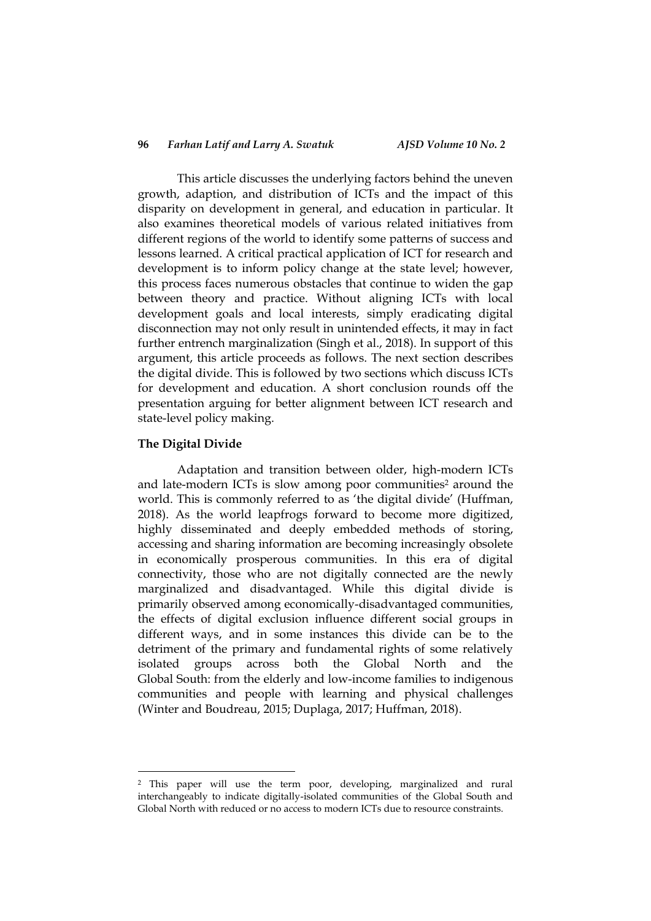#### **96** *Farhan Latif and Larry A. Swatuk AJSD Volume 10 No. 2*

This article discusses the underlying factors behind the uneven growth, adaption, and distribution of ICTs and the impact of this disparity on development in general, and education in particular. It also examines theoretical models of various related initiatives from different regions of the world to identify some patterns of success and lessons learned. A critical practical application of ICT for research and development is to inform policy change at the state level; however, this process faces numerous obstacles that continue to widen the gap between theory and practice. Without aligning ICTs with local development goals and local interests, simply eradicating digital disconnection may not only result in unintended effects, it may in fact further entrench marginalization (Singh et al., 2018). In support of this argument, this article proceeds as follows. The next section describes the digital divide. This is followed by two sections which discuss ICTs for development and education. A short conclusion rounds off the presentation arguing for better alignment between ICT research and state-level policy making.

#### **The Digital Divide**

1

Adaptation and transition between older, high-modern ICTs and late-modern ICTs is slow among poor communities<sup>2</sup> around the world. This is commonly referred to as "the digital divide" (Huffman, 2018). As the world leapfrogs forward to become more digitized, highly disseminated and deeply embedded methods of storing, accessing and sharing information are becoming increasingly obsolete in economically prosperous communities. In this era of digital connectivity, those who are not digitally connected are the newly marginalized and disadvantaged. While this digital divide is primarily observed among economically-disadvantaged communities, the effects of digital exclusion influence different social groups in different ways, and in some instances this divide can be to the detriment of the primary and fundamental rights of some relatively isolated groups across both the Global North and the Global South: from the elderly and low-income families to indigenous communities and people with learning and physical challenges (Winter and Boudreau, 2015; Duplaga, 2017; Huffman, 2018).

<sup>2</sup> This paper will use the term poor, developing, marginalized and rural interchangeably to indicate digitally-isolated communities of the Global South and Global North with reduced or no access to modern ICTs due to resource constraints.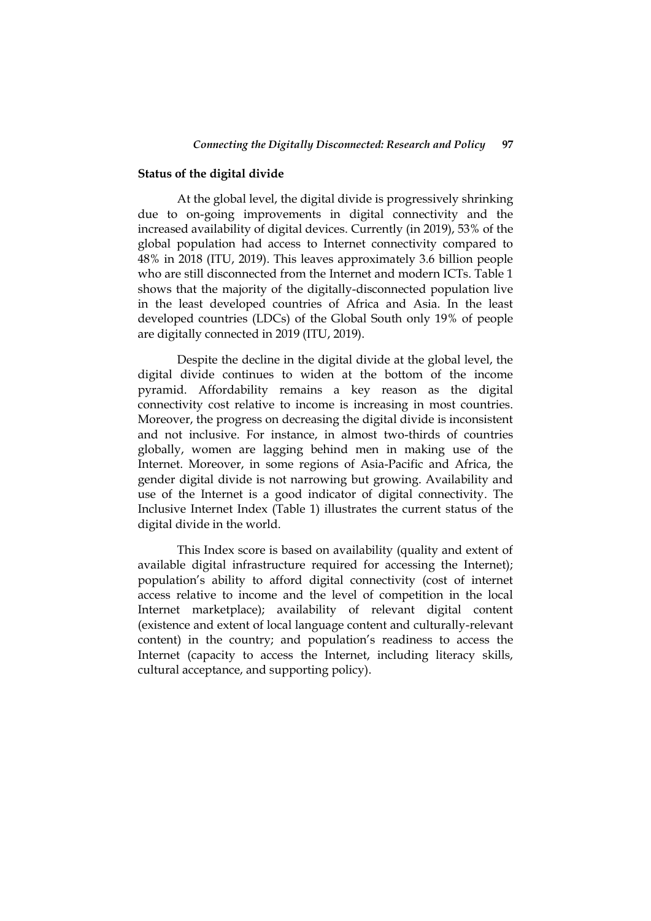#### **Status of the digital divide**

At the global level, the digital divide is progressively shrinking due to on-going improvements in digital connectivity and the increased availability of digital devices. Currently (in 2019), 53% of the global population had access to Internet connectivity compared to 48% in 2018 (ITU, 2019). This leaves approximately 3.6 billion people who are still disconnected from the Internet and modern ICTs. Table 1 shows that the majority of the digitally-disconnected population live in the least developed countries of Africa and Asia. In the least developed countries (LDCs) of the Global South only 19% of people are digitally connected in 2019 (ITU, 2019).

Despite the decline in the digital divide at the global level, the digital divide continues to widen at the bottom of the income pyramid. Affordability remains a key reason as the digital connectivity cost relative to income is increasing in most countries. Moreover, the progress on decreasing the digital divide is inconsistent and not inclusive. For instance, in almost two-thirds of countries globally, women are lagging behind men in making use of the Internet. Moreover, in some regions of Asia-Pacific and Africa, the gender digital divide is not narrowing but growing. Availability and use of the Internet is a good indicator of digital connectivity. The Inclusive Internet Index (Table 1) illustrates the current status of the digital divide in the world.

This Index score is based on availability (quality and extent of available digital infrastructure required for accessing the Internet); population"s ability to afford digital connectivity (cost of internet access relative to income and the level of competition in the local Internet marketplace); availability of relevant digital content (existence and extent of local language content and culturally-relevant content) in the country; and population's readiness to access the Internet (capacity to access the Internet, including literacy skills, cultural acceptance, and supporting policy).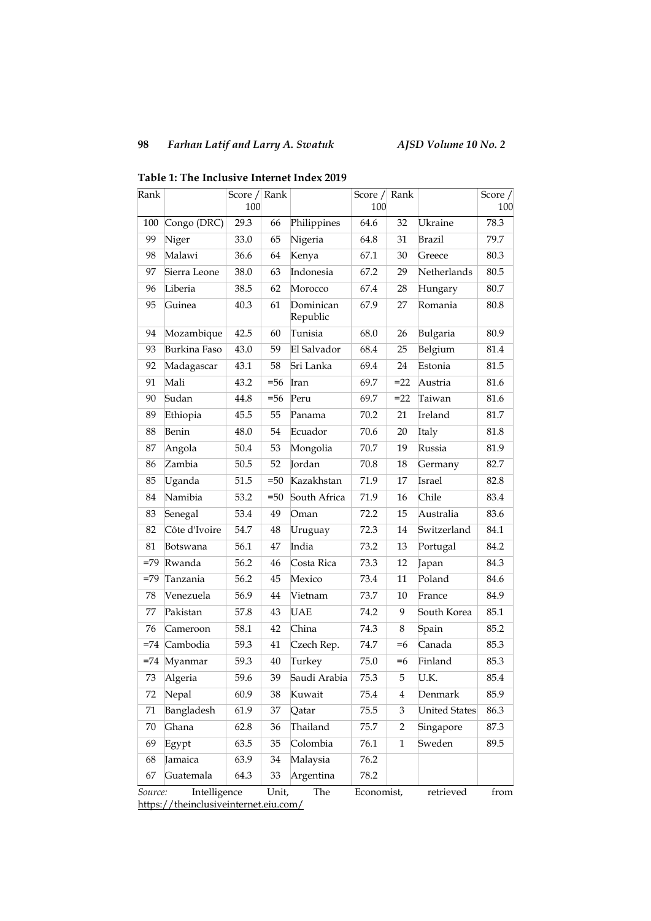## *Farhan Latif and Larry A. Swatuk AJSD Volume 10 No. 2*

| Rank                                                                                                            |                     | Score $/$ Rank |        |                       | Score $/$ | Rank         |                      | Score $/$ |
|-----------------------------------------------------------------------------------------------------------------|---------------------|----------------|--------|-----------------------|-----------|--------------|----------------------|-----------|
|                                                                                                                 |                     | 100            |        |                       | 100       |              |                      | 100       |
| 100                                                                                                             | Congo (DRC)         | 29.3           | 66     | Philippines           | 64.6      | 32           | Ukraine              | 78.3      |
| 99                                                                                                              | Niger               | 33.0           | 65     | Nigeria               | 64.8      | 31           | <b>Brazil</b>        | 79.7      |
| 98                                                                                                              | Malawi              | 36.6           | 64     | Kenya                 | 67.1      | 30           | Greece               | 80.3      |
| 97                                                                                                              | Sierra Leone        | 38.0           | 63     | Indonesia             | 67.2      | 29           | Netherlands          | 80.5      |
| 96                                                                                                              | Liberia             | 38.5           | 62     | Morocco               | 67.4      | 28           | Hungary              | 80.7      |
| 95                                                                                                              | Guinea              | 40.3           | 61     | Dominican<br>Republic | 67.9      | 27           | Romania              | 80.8      |
| 94                                                                                                              | Mozambique          | 42.5           | 60     | Tunisia               | 68.0      | 26           | Bulgaria             | 80.9      |
| 93                                                                                                              | <b>Burkina Faso</b> | 43.0           | 59     | El Salvador           | 68.4      | 25           | Belgium              | 81.4      |
| 92                                                                                                              | Madagascar          | 43.1           | 58     | Sri Lanka             | 69.4      | 24           | Estonia              | 81.5      |
| 91                                                                                                              | Mali                | 43.2           | $= 56$ | Iran                  | 69.7      | $=22$        | Austria              | 81.6      |
| 90                                                                                                              | Sudan               | 44.8           | $= 56$ | Peru                  | 69.7      | $=22$        | Taiwan               | 81.6      |
| 89                                                                                                              | Ethiopia            | 45.5           | 55     | Panama                | 70.2      | 21           | Ireland              | 81.7      |
| 88                                                                                                              | Benin               | 48.0           | 54     | Ecuador               | 70.6      | 20           | Italy                | 81.8      |
| 87                                                                                                              | Angola              | 50.4           | 53     | Mongolia              | 70.7      | 19           | Russia               | 81.9      |
| 86                                                                                                              | Zambia              | 50.5           | 52     | Jordan                | 70.8      | 18           | Germany              | 82.7      |
| 85                                                                                                              | Uganda              | 51.5           | $= 50$ | Kazakhstan            | 71.9      | 17           | Israel               | 82.8      |
| 84                                                                                                              | Namibia             | 53.2           | $= 50$ | South Africa          | 71.9      | 16           | Chile                | 83.4      |
| 83                                                                                                              | Senegal             | 53.4           | 49     | Oman                  | 72.2      | 15           | Australia            | 83.6      |
| 82                                                                                                              | Côte d'Ivoire       | 54.7           | 48     | Uruguay               | 72.3      | 14           | Switzerland          | 84.1      |
| 81                                                                                                              | Botswana            | 56.1           | 47     | India                 | 73.2      | 13           | Portugal             | 84.2      |
|                                                                                                                 | =79 Rwanda          | 56.2           | 46     | Costa Rica            | 73.3      | 12           | Japan                | 84.3      |
| $=79$                                                                                                           | Tanzania            | 56.2           | 45     | Mexico                | 73.4      | 11           | Poland               | 84.6      |
| 78                                                                                                              | Venezuela           | 56.9           | 44     | Vietnam               | 73.7      | 10           | France               | 84.9      |
| 77                                                                                                              | Pakistan            | 57.8           | 43     | <b>UAE</b>            | 74.2      | 9            | South Korea          | 85.1      |
| 76                                                                                                              | Cameroon            | 58.1           | 42     | China                 | 74.3      | 8            | Spain                | 85.2      |
| $= 74$                                                                                                          | Cambodia            | 59.3           | 41     | Czech Rep.            | 74.7      | $=6$         | Canada               | 85.3      |
| $=74$                                                                                                           | Myanmar             | 59.3           | 40     | Turkey                | 75.0      | $=6$         | Finland              | 85.3      |
| 73                                                                                                              | Algeria             | 59.6           | 39     | Saudi Arabia          | 75.3      | 5            | U.K.                 | 85.4      |
| 72                                                                                                              | Nepal               | 60.9           | 38     | Kuwait                | 75.4      | 4            | Denmark              | 85.9      |
| 71                                                                                                              | Bangladesh          | 61.9           | 37     | Qatar                 | 75.5      | 3            | <b>United States</b> | 86.3      |
| 70                                                                                                              | Ghana               | 62.8           | 36     | Thailand              | 75.7      | 2            | Singapore            | 87.3      |
| 69                                                                                                              | Egypt               | 63.5           | 35     | Colombia              | 76.1      | $\mathbf{1}$ | Sweden               | 89.5      |
| 68                                                                                                              | Jamaica             | 63.9           | 34     | Malaysia              | 76.2      |              |                      |           |
| 67                                                                                                              | Guatemala           | 64.3           | 33     | Argentina             | 78.2      |              |                      |           |
| Economist,<br>retrieved<br>Unit,<br>from<br>Intelligence<br>The<br><i>Source:</i><br>1/4<br>$h$ <sup>ttno</sup> |                     |                |        |                       |           |              |                      |           |

**Table 1: The Inclusive Internet Index 2019**

<https://theinclusiveinternet.eiu.com/>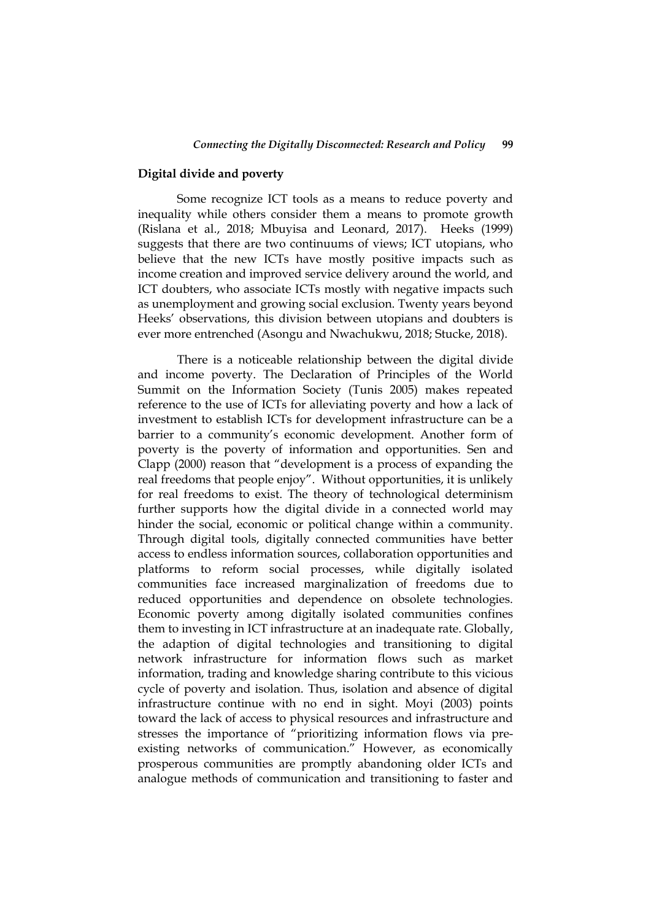#### **Digital divide and poverty**

Some recognize ICT tools as a means to reduce poverty and inequality while others consider them a means to promote growth (Rislana et al., 2018; Mbuyisa and Leonard, 2017). Heeks (1999) suggests that there are two continuums of views; ICT utopians, who believe that the new ICTs have mostly positive impacts such as income creation and improved service delivery around the world, and ICT doubters, who associate ICTs mostly with negative impacts such as unemployment and growing social exclusion. Twenty years beyond Heeks" observations, this division between utopians and doubters is ever more entrenched (Asongu and Nwachukwu, 2018; Stucke, 2018).

There is a noticeable relationship between the digital divide and income poverty. The Declaration of Principles of the World Summit on the Information Society (Tunis 2005) makes repeated reference to the use of ICTs for alleviating poverty and how a lack of investment to establish ICTs for development infrastructure can be a barrier to a community's economic development. Another form of poverty is the poverty of information and opportunities. Sen and Clapp (2000) reason that "development is a process of expanding the real freedoms that people enjoy". Without opportunities, it is unlikely for real freedoms to exist. The theory of technological determinism further supports how the digital divide in a connected world may hinder the social, economic or political change within a community. Through digital tools, digitally connected communities have better access to endless information sources, collaboration opportunities and platforms to reform social processes, while digitally isolated communities face increased marginalization of freedoms due to reduced opportunities and dependence on obsolete technologies. Economic poverty among digitally isolated communities confines them to investing in ICT infrastructure at an inadequate rate. Globally, the adaption of digital technologies and transitioning to digital network infrastructure for information flows such as market information, trading and knowledge sharing contribute to this vicious cycle of poverty and isolation. Thus, isolation and absence of digital infrastructure continue with no end in sight. Moyi (2003) points toward the lack of access to physical resources and infrastructure and stresses the importance of "prioritizing information flows via preexisting networks of communication." However, as economically prosperous communities are promptly abandoning older ICTs and analogue methods of communication and transitioning to faster and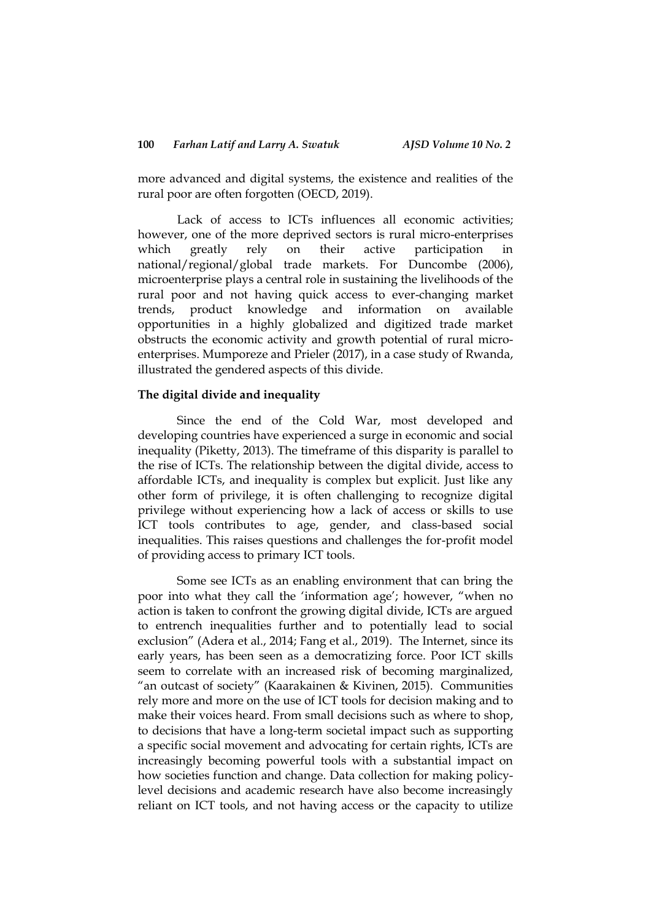more advanced and digital systems, the existence and realities of the rural poor are often forgotten (OECD, 2019).

Lack of access to ICTs influences all economic activities; however, one of the more deprived sectors is rural micro-enterprises which greatly rely on their active participation in national/regional/global trade markets. For Duncombe (2006), microenterprise plays a central role in sustaining the livelihoods of the rural poor and not having quick access to ever-changing market trends, product knowledge and information on available opportunities in a highly globalized and digitized trade market obstructs the economic activity and growth potential of rural microenterprises. Mumporeze and Prieler (2017), in a case study of Rwanda, illustrated the gendered aspects of this divide.

#### **The digital divide and inequality**

Since the end of the Cold War, most developed and developing countries have experienced a surge in economic and social inequality (Piketty, 2013). The timeframe of this disparity is parallel to the rise of ICTs. The relationship between the digital divide, access to affordable ICTs, and inequality is complex but explicit. Just like any other form of privilege, it is often challenging to recognize digital privilege without experiencing how a lack of access or skills to use ICT tools contributes to age, gender, and class-based social inequalities. This raises questions and challenges the for-profit model of providing access to primary ICT tools.

Some see ICTs as an enabling environment that can bring the poor into what they call the 'information age'; however, "when no action is taken to confront the growing digital divide, ICTs are argued to entrench inequalities further and to potentially lead to social exclusion" (Adera et al., 2014; Fang et al., 2019). The Internet, since its early years, has been seen as a democratizing force. Poor ICT skills seem to correlate with an increased risk of becoming marginalized, "an outcast of society" (Kaarakainen & Kivinen, 2015). Communities rely more and more on the use of ICT tools for decision making and to make their voices heard. From small decisions such as where to shop, to decisions that have a long-term societal impact such as supporting a specific social movement and advocating for certain rights, ICTs are increasingly becoming powerful tools with a substantial impact on how societies function and change. Data collection for making policylevel decisions and academic research have also become increasingly reliant on ICT tools, and not having access or the capacity to utilize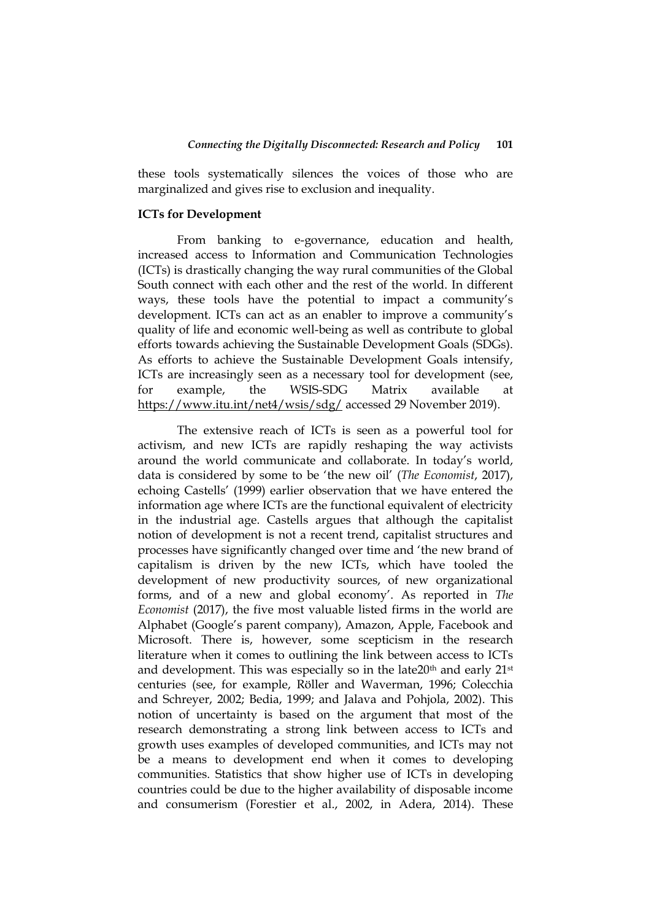these tools systematically silences the voices of those who are marginalized and gives rise to exclusion and inequality.

#### **ICTs for Development**

From banking to e-governance, education and health, increased access to Information and Communication Technologies (ICTs) is drastically changing the way rural communities of the Global South connect with each other and the rest of the world. In different ways, these tools have the potential to impact a community's development. ICTs can act as an enabler to improve a community's quality of life and economic well-being as well as contribute to global efforts towards achieving the Sustainable Development Goals (SDGs). As efforts to achieve the Sustainable Development Goals intensify, ICTs are increasingly seen as a necessary tool for development (see, for example, the WSIS-SDG Matrix available at <https://www.itu.int/net4/wsis/sdg/> accessed 29 November 2019).

The extensive reach of ICTs is seen as a powerful tool for activism, and new ICTs are rapidly reshaping the way activists around the world communicate and collaborate. In today"s world, data is considered by some to be "the new oil" (*The Economist*, 2017), echoing Castells" (1999) earlier observation that we have entered the information age where ICTs are the functional equivalent of electricity in the industrial age. Castells argues that although the capitalist notion of development is not a recent trend, capitalist structures and processes have significantly changed over time and "the new brand of capitalism is driven by the new ICTs, which have tooled the development of new productivity sources, of new organizational forms, and of a new and global economy'. As reported in *The Economist* (2017), the five most valuable listed firms in the world are Alphabet (Google"s parent company), Amazon, Apple, Facebook and Microsoft. There is, however, some scepticism in the research literature when it comes to outlining the link between access to ICTs and development. This was especially so in the late $20<sup>th</sup>$  and early  $21<sup>st</sup>$ centuries (see, for example, Röller and Waverman, 1996; Colecchia and Schreyer, 2002; Bedia, 1999; and Jalava and Pohjola, 2002). This notion of uncertainty is based on the argument that most of the research demonstrating a strong link between access to ICTs and growth uses examples of developed communities, and ICTs may not be a means to development end when it comes to developing communities. Statistics that show higher use of ICTs in developing countries could be due to the higher availability of disposable income and consumerism (Forestier et al., 2002, in Adera, 2014). These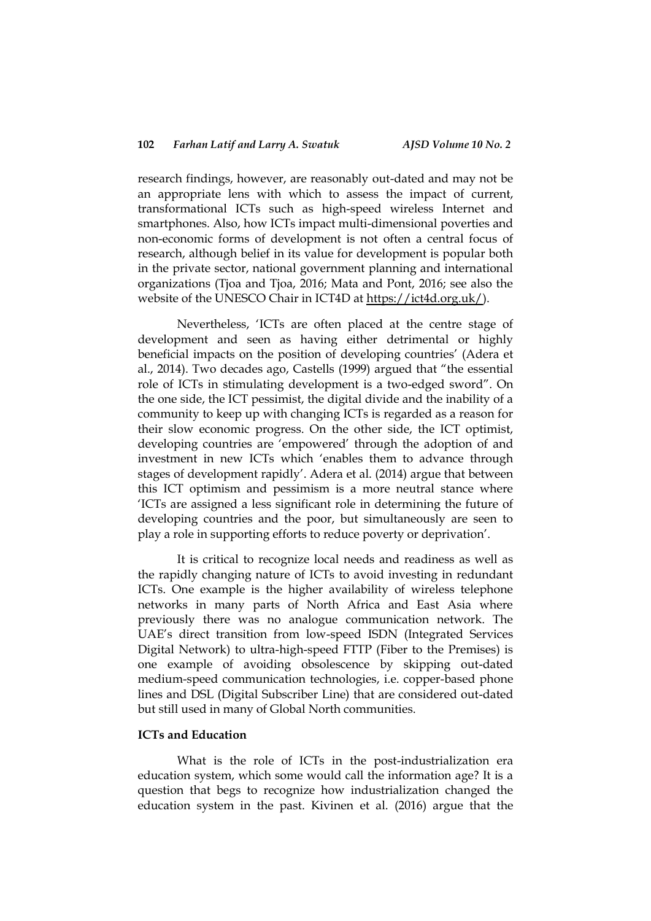research findings, however, are reasonably out-dated and may not be an appropriate lens with which to assess the impact of current, transformational ICTs such as high-speed wireless Internet and smartphones. Also, how ICTs impact multi-dimensional poverties and non-economic forms of development is not often a central focus of research, although belief in its value for development is popular both in the private sector, national government planning and international organizations (Tjoa and Tjoa, 2016; Mata and Pont, 2016; see also the website of the UNESCO Chair in ICT4D at [https://ict4d.org.uk/\)](https://ict4d.org.uk/).

Nevertheless, "ICTs are often placed at the centre stage of development and seen as having either detrimental or highly beneficial impacts on the position of developing countries" (Adera et al., 2014). Two decades ago, Castells (1999) argued that "the essential role of ICTs in stimulating development is a two-edged sword". On the one side, the ICT pessimist, the digital divide and the inability of a community to keep up with changing ICTs is regarded as a reason for their slow economic progress. On the other side, the ICT optimist, developing countries are 'empowered' through the adoption of and investment in new ICTs which "enables them to advance through stages of development rapidly". Adera et al. (2014) argue that between this ICT optimism and pessimism is a more neutral stance where "ICTs are assigned a less significant role in determining the future of developing countries and the poor, but simultaneously are seen to play a role in supporting efforts to reduce poverty or deprivation".

It is critical to recognize local needs and readiness as well as the rapidly changing nature of ICTs to avoid investing in redundant ICTs. One example is the higher availability of wireless telephone networks in many parts of North Africa and East Asia where previously there was no analogue communication network. The UAE"s direct transition from low-speed ISDN (Integrated Services Digital Network) to ultra-high-speed FTTP (Fiber to the Premises) is one example of avoiding obsolescence by skipping out-dated medium-speed communication technologies, i.e. copper-based phone lines and DSL (Digital Subscriber Line) that are considered out-dated but still used in many of Global North communities.

### **ICTs and Education**

What is the role of ICTs in the post-industrialization era education system, which some would call the information age? It is a question that begs to recognize how industrialization changed the education system in the past. Kivinen et al. (2016) argue that the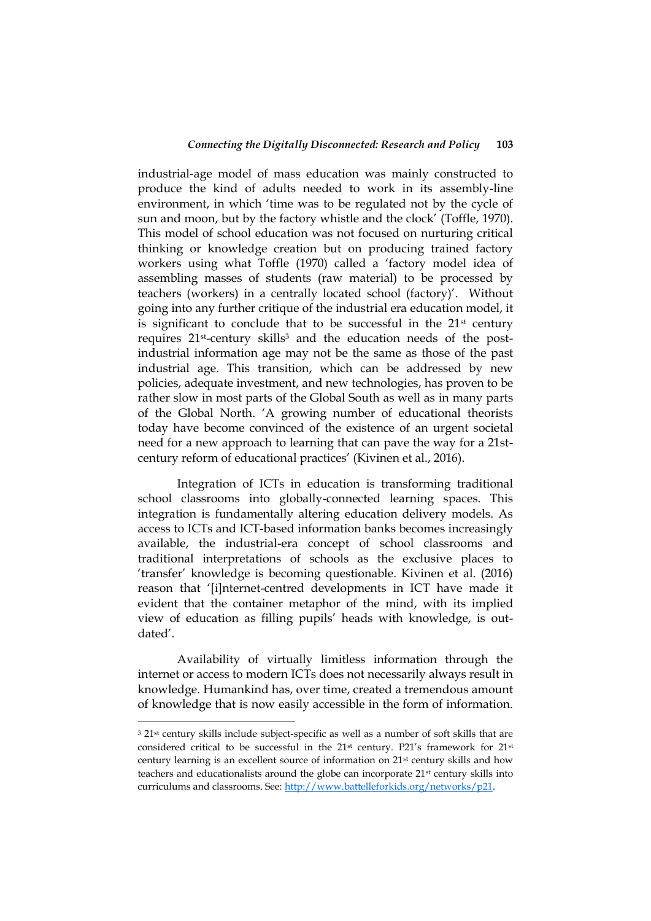industrial-age model of mass education was mainly constructed to produce the kind of adults needed to work in its assembly-line environment, in which 'time was to be regulated not by the cycle of sun and moon, but by the factory whistle and the clock' (Toffle, 1970). This model of school education was not focused on nurturing critical thinking or knowledge creation but on producing trained factory workers using what Toffle (1970) called a "factory model idea of assembling masses of students (raw material) to be processed by teachers (workers) in a centrally located school (factory)'. Without going into any further critique of the industrial era education model, it is significant to conclude that to be successful in the  $21<sup>st</sup>$  century requires 21<sup>st</sup>-century skills<sup>3</sup> and the education needs of the postindustrial information age may not be the same as those of the past industrial age. This transition, which can be addressed by new policies, adequate investment, and new technologies, has proven to be rather slow in most parts of the Global South as well as in many parts of the Global North. "A growing number of educational theorists today have become convinced of the existence of an urgent societal need for a new approach to learning that can pave the way for a 21stcentury reform of educational practices" (Kivinen et al., 2016).

Integration of ICTs in education is transforming traditional school classrooms into globally-connected learning spaces. This integration is fundamentally altering education delivery models. As access to ICTs and ICT-based information banks becomes increasingly available, the industrial-era concept of school classrooms and traditional interpretations of schools as the exclusive places to "transfer" knowledge is becoming questionable. Kivinen et al. (2016) reason that "[i]nternet-centred developments in ICT have made it evident that the container metaphor of the mind, with its implied view of education as filling pupils" heads with knowledge, is outdated".

Availability of virtually limitless information through the internet or access to modern ICTs does not necessarily always result in knowledge. Humankind has, over time, created a tremendous amount of knowledge that is now easily accessible in the form of information.

<u>.</u>

<sup>&</sup>lt;sup>3</sup> 21<sup>st</sup> century skills include subject-specific as well as a number of soft skills that are considered critical to be successful in the 21st century. P21"s framework for 21st century learning is an excellent source of information on 21st century skills and how teachers and educationalists around the globe can incorporate 21st century skills into curriculums and classrooms. See[: http://www.battelleforkids.org/networks/p21.](http://www.battelleforkids.org/networks/p21)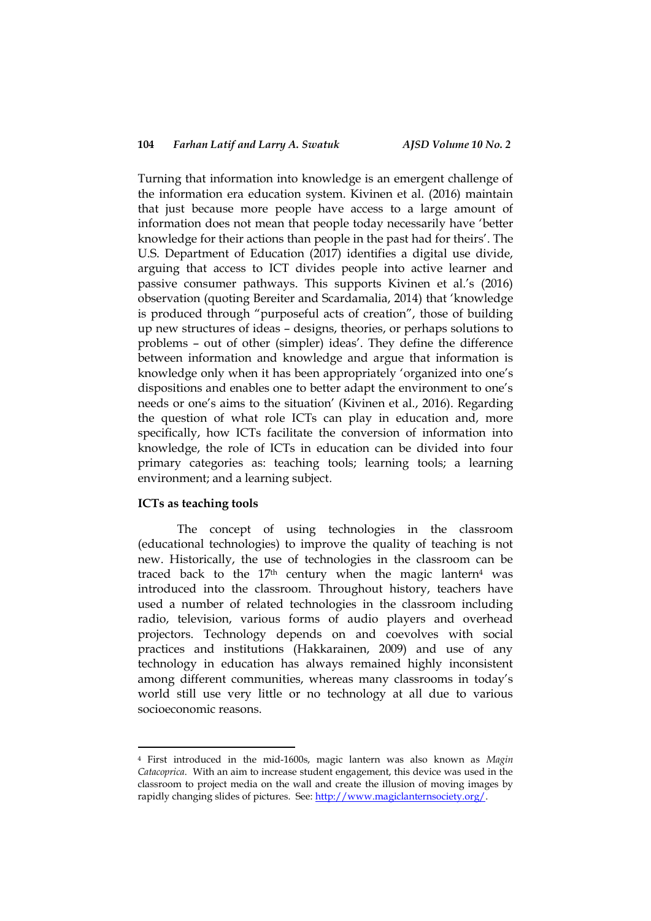Turning that information into knowledge is an emergent challenge of the information era education system. Kivinen et al. (2016) maintain that just because more people have access to a large amount of information does not mean that people today necessarily have "better knowledge for their actions than people in the past had for theirs". The U.S. Department of Education (2017) identifies a digital use divide, arguing that access to ICT divides people into active learner and passive consumer pathways. This supports Kivinen et al.'s (2016) observation (quoting Bereiter and Scardamalia, 2014) that "knowledge is produced through "purposeful acts of creation", those of building up new structures of ideas – designs, theories, or perhaps solutions to problems – out of other (simpler) ideas". They define the difference between information and knowledge and argue that information is knowledge only when it has been appropriately "organized into one"s dispositions and enables one to better adapt the environment to one"s needs or one's aims to the situation' (Kivinen et al., 2016). Regarding the question of what role ICTs can play in education and, more specifically, how ICTs facilitate the conversion of information into knowledge, the role of ICTs in education can be divided into four primary categories as: teaching tools; learning tools; a learning environment; and a learning subject.

#### **ICTs as teaching tools**

<u>.</u>

The concept of using technologies in the classroom (educational technologies) to improve the quality of teaching is not new. Historically, the use of technologies in the classroom can be traced back to the  $17<sup>th</sup>$  century when the magic lantern<sup>4</sup> was introduced into the classroom. Throughout history, teachers have used a number of related technologies in the classroom including radio, television, various forms of audio players and overhead projectors. Technology depends on and coevolves with social practices and institutions (Hakkarainen, 2009) and use of any technology in education has always remained highly inconsistent among different communities, whereas many classrooms in today"s world still use very little or no technology at all due to various socioeconomic reasons.

<sup>4</sup> First introduced in the mid-1600s, magic lantern was also known as *Magin Catacoprica*. With an aim to increase student engagement, this device was used in the classroom to project media on the wall and create the illusion of moving images by rapidly changing slides of pictures. See[: http://www.magiclanternsociety.org/.](http://www.magiclanternsociety.org/)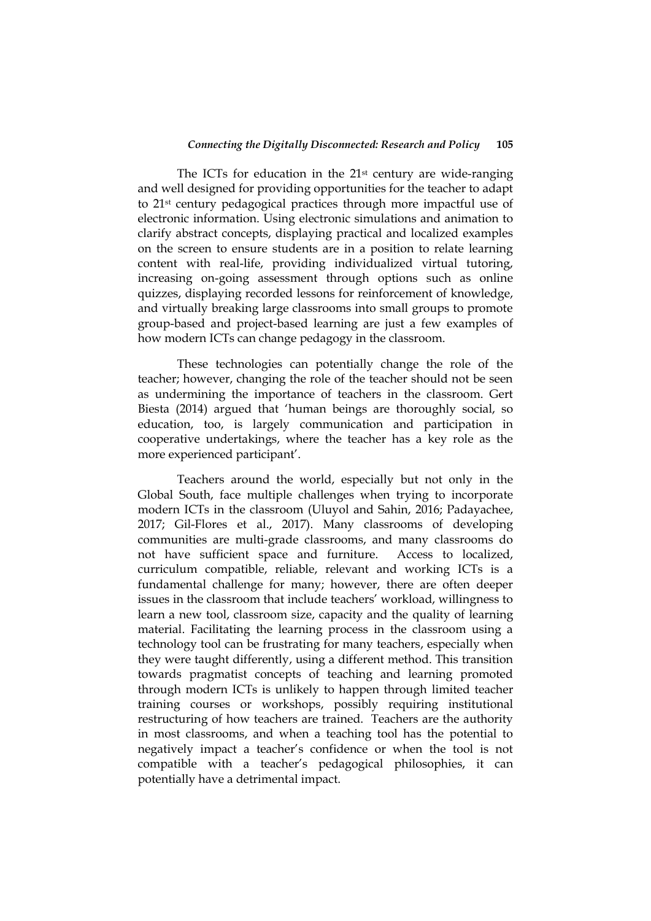The ICTs for education in the 21<sup>st</sup> century are wide-ranging and well designed for providing opportunities for the teacher to adapt to 21st century pedagogical practices through more impactful use of electronic information. Using electronic simulations and animation to clarify abstract concepts, displaying practical and localized examples on the screen to ensure students are in a position to relate learning content with real-life, providing individualized virtual tutoring, increasing on-going assessment through options such as online quizzes, displaying recorded lessons for reinforcement of knowledge, and virtually breaking large classrooms into small groups to promote group-based and project-based learning are just a few examples of how modern ICTs can change pedagogy in the classroom.

These technologies can potentially change the role of the teacher; however, changing the role of the teacher should not be seen as undermining the importance of teachers in the classroom. Gert Biesta (2014) argued that "human beings are thoroughly social, so education, too, is largely communication and participation in cooperative undertakings, where the teacher has a key role as the more experienced participant".

Teachers around the world, especially but not only in the Global South, face multiple challenges when trying to incorporate modern ICTs in the classroom (Uluyol and Sahin, 2016; Padayachee, 2017; Gil-Flores et al., 2017). Many classrooms of developing communities are multi-grade classrooms, and many classrooms do not have sufficient space and furniture. Access to localized, curriculum compatible, reliable, relevant and working ICTs is a fundamental challenge for many; however, there are often deeper issues in the classroom that include teachers' workload, willingness to learn a new tool, classroom size, capacity and the quality of learning material. Facilitating the learning process in the classroom using a technology tool can be frustrating for many teachers, especially when they were taught differently, using a different method. This transition towards pragmatist concepts of teaching and learning promoted through modern ICTs is unlikely to happen through limited teacher training courses or workshops, possibly requiring institutional restructuring of how teachers are trained. Teachers are the authority in most classrooms, and when a teaching tool has the potential to negatively impact a teacher"s confidence or when the tool is not compatible with a teacher"s pedagogical philosophies, it can potentially have a detrimental impact.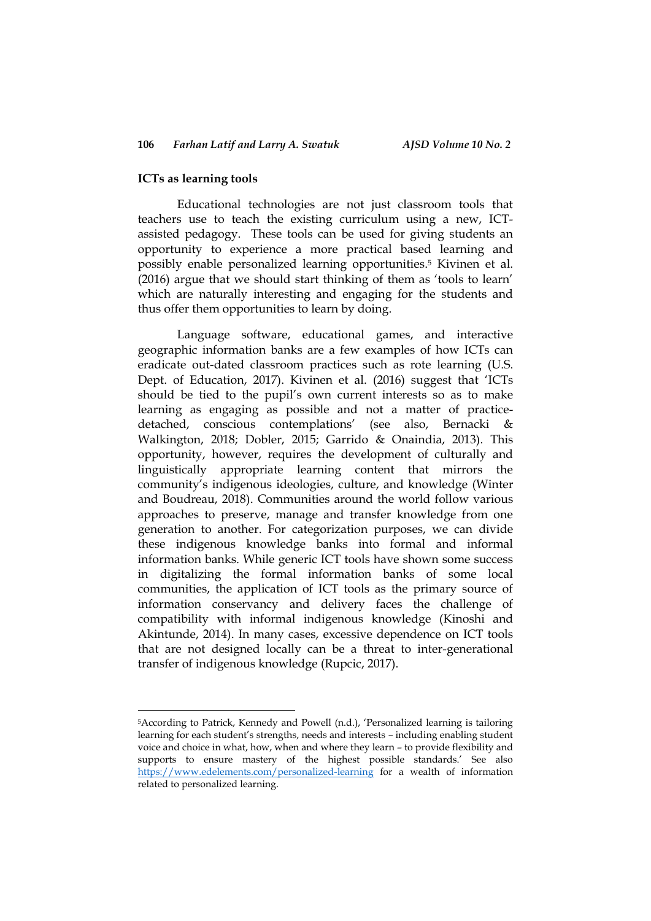#### **ICTs as learning tools**

1

Educational technologies are not just classroom tools that teachers use to teach the existing curriculum using a new, ICTassisted pedagogy. These tools can be used for giving students an opportunity to experience a more practical based learning and possibly enable personalized learning opportunities. <sup>5</sup> Kivinen et al. (2016) argue that we should start thinking of them as 'tools to learn' which are naturally interesting and engaging for the students and thus offer them opportunities to learn by doing.

Language software, educational games, and interactive geographic information banks are a few examples of how ICTs can eradicate out-dated classroom practices such as rote learning (U.S. Dept. of Education, 2017). Kivinen et al. (2016) suggest that "ICTs should be tied to the pupil"s own current interests so as to make learning as engaging as possible and not a matter of practicedetached, conscious contemplations" (see also, Bernacki & Walkington, 2018; Dobler, 2015; Garrido & Onaindia, 2013). This opportunity, however, requires the development of culturally and linguistically appropriate learning content that mirrors the community"s indigenous ideologies, culture, and knowledge (Winter and Boudreau, 2018). Communities around the world follow various approaches to preserve, manage and transfer knowledge from one generation to another. For categorization purposes, we can divide these indigenous knowledge banks into formal and informal information banks. While generic ICT tools have shown some success in digitalizing the formal information banks of some local communities, the application of ICT tools as the primary source of information conservancy and delivery faces the challenge of compatibility with informal indigenous knowledge (Kinoshi and Akintunde, 2014). In many cases, excessive dependence on ICT tools that are not designed locally can be a threat to inter-generational transfer of indigenous knowledge (Rupcic, 2017).

<sup>5</sup>According to Patrick, Kennedy and Powell (n.d.), "Personalized learning is tailoring learning for each student's strengths, needs and interests - including enabling student voice and choice in what, how, when and where they learn – to provide flexibility and supports to ensure mastery of the highest possible standards.' See also <https://www.edelements.com/personalized-learning> for a wealth of information related to personalized learning.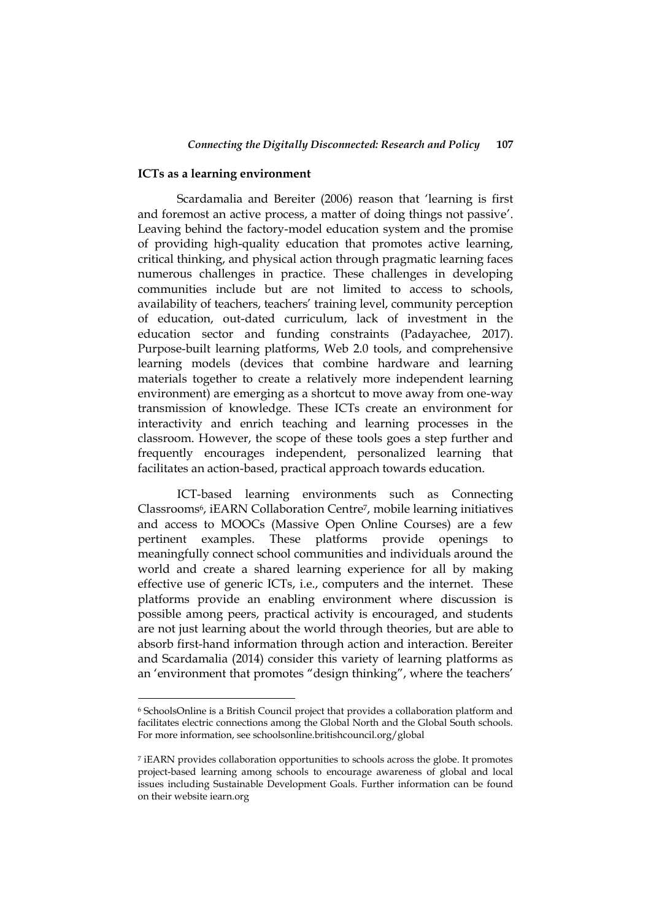#### **ICTs as a learning environment**

1

Scardamalia and Bereiter (2006) reason that "learning is first and foremost an active process, a matter of doing things not passive". Leaving behind the factory-model education system and the promise of providing high-quality education that promotes active learning, critical thinking, and physical action through pragmatic learning faces numerous challenges in practice. These challenges in developing communities include but are not limited to access to schools, availability of teachers, teachers' training level, community perception of education, out-dated curriculum, lack of investment in the education sector and funding constraints (Padayachee, 2017). Purpose-built learning platforms, Web 2.0 tools, and comprehensive learning models (devices that combine hardware and learning materials together to create a relatively more independent learning environment) are emerging as a shortcut to move away from one-way transmission of knowledge. These ICTs create an environment for interactivity and enrich teaching and learning processes in the classroom. However, the scope of these tools goes a step further and frequently encourages independent, personalized learning that facilitates an action-based, practical approach towards education.

ICT-based learning environments such as Connecting Classrooms6, iEARN Collaboration Centre7, mobile learning initiatives and access to MOOCs (Massive Open Online Courses) are a few pertinent examples. These platforms provide openings to meaningfully connect school communities and individuals around the world and create a shared learning experience for all by making effective use of generic ICTs, i.e., computers and the internet. These platforms provide an enabling environment where discussion is possible among peers, practical activity is encouraged, and students are not just learning about the world through theories, but are able to absorb first-hand information through action and interaction. Bereiter and Scardamalia (2014) consider this variety of learning platforms as an 'environment that promotes "design thinking", where the teachers'

<sup>6</sup> SchoolsOnline is a British Council project that provides a collaboration platform and facilitates electric connections among the Global North and the Global South schools. For more information, see schoolsonline.britishcouncil.org/global

<sup>7</sup> iEARN provides collaboration opportunities to schools across the globe. It promotes project-based learning among schools to encourage awareness of global and local issues including Sustainable Development Goals. Further information can be found on their website iearn.org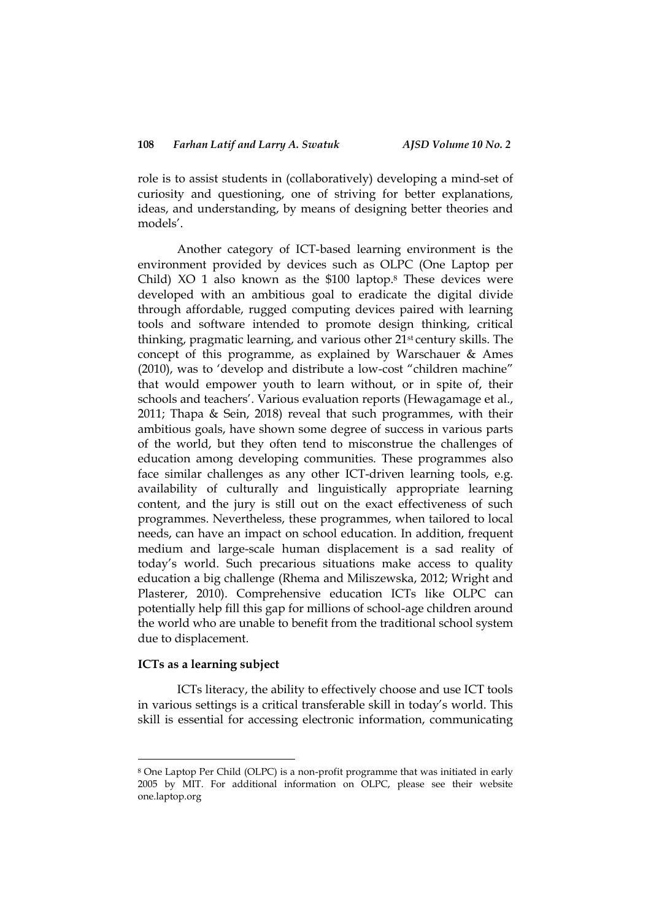role is to assist students in (collaboratively) developing a mind-set of curiosity and questioning, one of striving for better explanations, ideas, and understanding, by means of designing better theories and models".

Another category of ICT-based learning environment is the environment provided by devices such as OLPC (One Laptop per Child) XO 1 also known as the \$100 laptop. <sup>8</sup> These devices were developed with an ambitious goal to eradicate the digital divide through affordable, rugged computing devices paired with learning tools and software intended to promote design thinking, critical thinking, pragmatic learning, and various other 21st century skills. The concept of this programme, as explained by Warschauer & Ames (2010), was to "develop and distribute a low-cost "children machine" that would empower youth to learn without, or in spite of, their schools and teachers'. Various evaluation reports (Hewagamage et al., 2011; Thapa & Sein, 2018) reveal that such programmes, with their ambitious goals, have shown some degree of success in various parts of the world, but they often tend to misconstrue the challenges of education among developing communities. These programmes also face similar challenges as any other ICT-driven learning tools, e.g. availability of culturally and linguistically appropriate learning content, and the jury is still out on the exact effectiveness of such programmes. Nevertheless, these programmes, when tailored to local needs, can have an impact on school education. In addition, frequent medium and large-scale human displacement is a sad reality of today"s world. Such precarious situations make access to quality education a big challenge (Rhema and Miliszewska, 2012; Wright and Plasterer, 2010). Comprehensive education ICTs like OLPC can potentially help fill this gap for millions of school-age children around the world who are unable to benefit from the traditional school system due to displacement.

#### **ICTs as a learning subject**

1

ICTs literacy, the ability to effectively choose and use ICT tools in various settings is a critical transferable skill in today"s world. This skill is essential for accessing electronic information, communicating

<sup>8</sup> One Laptop Per Child (OLPC) is a non-profit programme that was initiated in early 2005 by MIT. For additional information on OLPC, please see their website one.laptop.org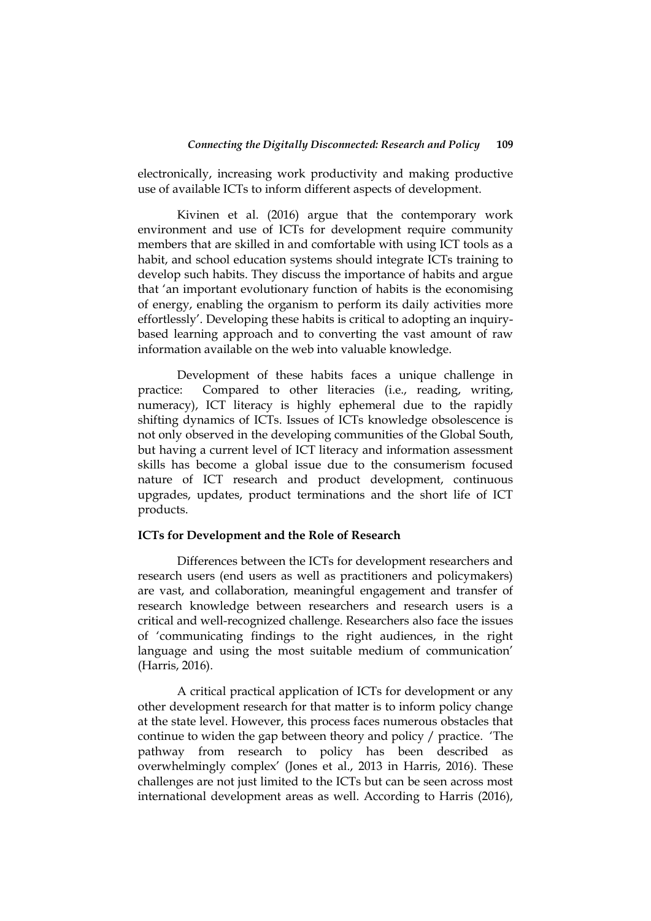electronically, increasing work productivity and making productive use of available ICTs to inform different aspects of development.

Kivinen et al. (2016) argue that the contemporary work environment and use of ICTs for development require community members that are skilled in and comfortable with using ICT tools as a habit, and school education systems should integrate ICTs training to develop such habits. They discuss the importance of habits and argue that "an important evolutionary function of habits is the economising of energy, enabling the organism to perform its daily activities more effortlessly". Developing these habits is critical to adopting an inquirybased learning approach and to converting the vast amount of raw information available on the web into valuable knowledge.

Development of these habits faces a unique challenge in practice: Compared to other literacies (i.e., reading, writing, numeracy), ICT literacy is highly ephemeral due to the rapidly shifting dynamics of ICTs. Issues of ICTs knowledge obsolescence is not only observed in the developing communities of the Global South, but having a current level of ICT literacy and information assessment skills has become a global issue due to the consumerism focused nature of ICT research and product development, continuous upgrades, updates, product terminations and the short life of ICT products.

#### **ICTs for Development and the Role of Research**

Differences between the ICTs for development researchers and research users (end users as well as practitioners and policymakers) are vast, and collaboration, meaningful engagement and transfer of research knowledge between researchers and research users is a critical and well-recognized challenge. Researchers also face the issues of "communicating findings to the right audiences, in the right language and using the most suitable medium of communication' (Harris, 2016).

A critical practical application of ICTs for development or any other development research for that matter is to inform policy change at the state level. However, this process faces numerous obstacles that continue to widen the gap between theory and policy / practice. "The pathway from research to policy has been described as overwhelmingly complex" (Jones et al., 2013 in Harris, 2016). These challenges are not just limited to the ICTs but can be seen across most international development areas as well. According to Harris (2016),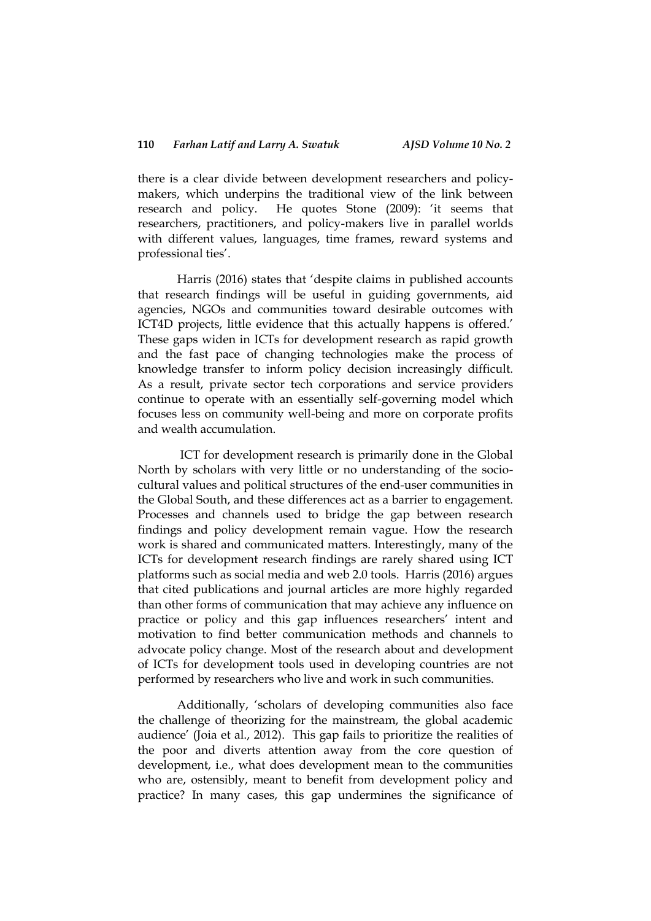there is a clear divide between development researchers and policymakers, which underpins the traditional view of the link between research and policy. He quotes Stone (2009): "it seems that researchers, practitioners, and policy-makers live in parallel worlds with different values, languages, time frames, reward systems and professional ties'.

Harris (2016) states that "despite claims in published accounts that research findings will be useful in guiding governments, aid agencies, NGOs and communities toward desirable outcomes with ICT4D projects, little evidence that this actually happens is offered." These gaps widen in ICTs for development research as rapid growth and the fast pace of changing technologies make the process of knowledge transfer to inform policy decision increasingly difficult. As a result, private sector tech corporations and service providers continue to operate with an essentially self-governing model which focuses less on community well-being and more on corporate profits and wealth accumulation.

ICT for development research is primarily done in the Global North by scholars with very little or no understanding of the sociocultural values and political structures of the end-user communities in the Global South, and these differences act as a barrier to engagement. Processes and channels used to bridge the gap between research findings and policy development remain vague. How the research work is shared and communicated matters. Interestingly, many of the ICTs for development research findings are rarely shared using ICT platforms such as social media and web 2.0 tools. Harris (2016) argues that cited publications and journal articles are more highly regarded than other forms of communication that may achieve any influence on practice or policy and this gap influences researchers' intent and motivation to find better communication methods and channels to advocate policy change. Most of the research about and development of ICTs for development tools used in developing countries are not performed by researchers who live and work in such communities.

Additionally, "scholars of developing communities also face the challenge of theorizing for the mainstream, the global academic audience" (Joia et al., 2012). This gap fails to prioritize the realities of the poor and diverts attention away from the core question of development, i.e., what does development mean to the communities who are, ostensibly, meant to benefit from development policy and practice? In many cases, this gap undermines the significance of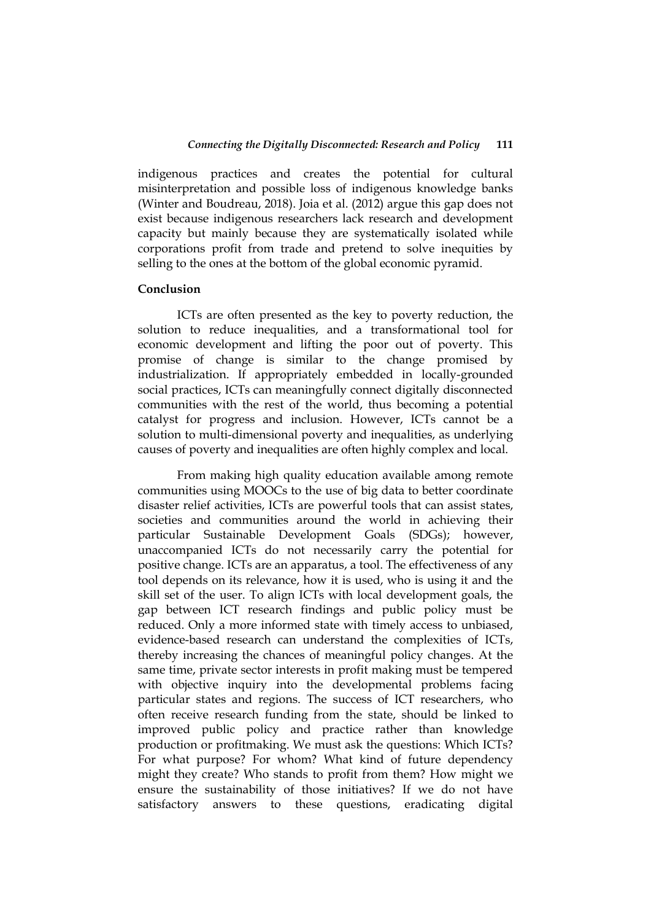indigenous practices and creates the potential for cultural misinterpretation and possible loss of indigenous knowledge banks (Winter and Boudreau, 2018). Joia et al. (2012) argue this gap does not exist because indigenous researchers lack research and development capacity but mainly because they are systematically isolated while corporations profit from trade and pretend to solve inequities by selling to the ones at the bottom of the global economic pyramid.

#### **Conclusion**

ICTs are often presented as the key to poverty reduction, the solution to reduce inequalities, and a transformational tool for economic development and lifting the poor out of poverty. This promise of change is similar to the change promised by industrialization. If appropriately embedded in locally-grounded social practices, ICTs can meaningfully connect digitally disconnected communities with the rest of the world, thus becoming a potential catalyst for progress and inclusion. However, ICTs cannot be a solution to multi-dimensional poverty and inequalities, as underlying causes of poverty and inequalities are often highly complex and local.

From making high quality education available among remote communities using MOOCs to the use of big data to better coordinate disaster relief activities, ICTs are powerful tools that can assist states, societies and communities around the world in achieving their particular Sustainable Development Goals (SDGs); however, unaccompanied ICTs do not necessarily carry the potential for positive change. ICTs are an apparatus, a tool. The effectiveness of any tool depends on its relevance, how it is used, who is using it and the skill set of the user. To align ICTs with local development goals, the gap between ICT research findings and public policy must be reduced. Only a more informed state with timely access to unbiased, evidence-based research can understand the complexities of ICTs, thereby increasing the chances of meaningful policy changes. At the same time, private sector interests in profit making must be tempered with objective inquiry into the developmental problems facing particular states and regions. The success of ICT researchers, who often receive research funding from the state, should be linked to improved public policy and practice rather than knowledge production or profitmaking. We must ask the questions: Which ICTs? For what purpose? For whom? What kind of future dependency might they create? Who stands to profit from them? How might we ensure the sustainability of those initiatives? If we do not have satisfactory answers to these questions, eradicating digital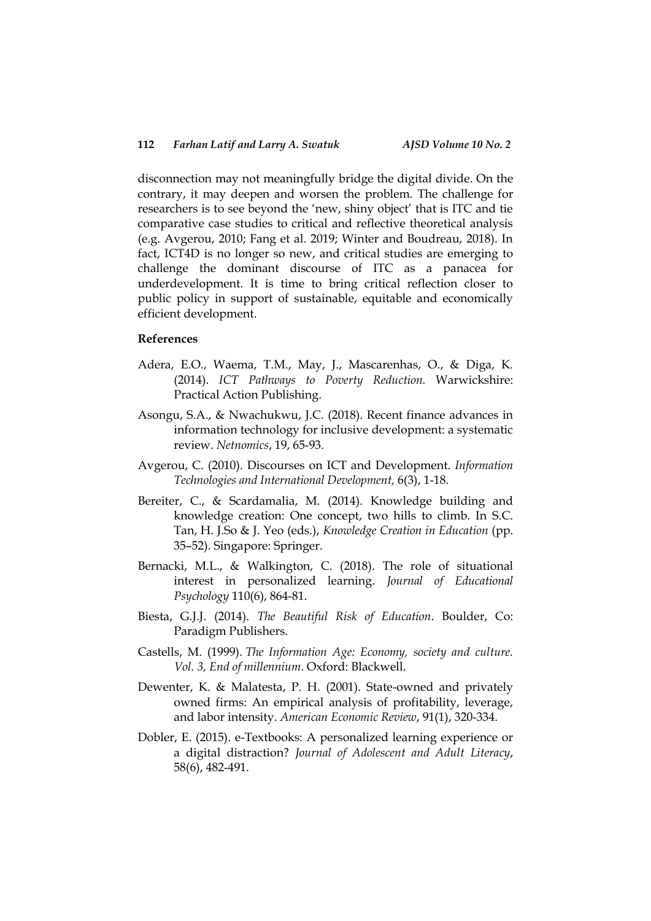disconnection may not meaningfully bridge the digital divide. On the contrary, it may deepen and worsen the problem. The challenge for researchers is to see beyond the 'new, shiny object' that is ITC and tie comparative case studies to critical and reflective theoretical analysis (e.g. Avgerou, 2010; Fang et al. 2019; Winter and Boudreau, 2018). In fact, ICT4D is no longer so new, and critical studies are emerging to challenge the dominant discourse of ITC as a panacea for underdevelopment. It is time to bring critical reflection closer to public policy in support of sustainable, equitable and economically efficient development.

#### **References**

- Adera, E.O., Waema, T.M., May, J., Mascarenhas, O., & Diga, K. (2014). *ICT Pathways to Poverty Reduction.* Warwickshire: Practical Action Publishing.
- Asongu, S.A., & Nwachukwu, J.C. (2018). Recent finance advances in information technology for inclusive development: a systematic review. *Netnomics*, 19, 65-93.
- Avgerou, C. (2010). Discourses on ICT and Development. *Information Technologies and International Development,* 6(3), 1-18.
- Bereiter, C., & Scardamalia, M. (2014). Knowledge building and knowledge creation: One concept, two hills to climb. In S.C. Tan, H. J.So & J. Yeo (eds.), *Knowledge Creation in Education* (pp. 35–52). Singapore: Springer.
- Bernacki, M.L., & Walkington, C. (2018). The role of situational interest in personalized learning. *Journal of Educational Psychology* 110(6), 864-81.
- Biesta, G.J.J. (2014). *The Beautiful Risk of Education*. Boulder, Co: Paradigm Publishers.
- Castells, M. (1999). *The Information Age: Economy, society and culture. Vol. 3, End of millennium*. Oxford: Blackwell.
- Dewenter, K. & Malatesta, P. H. (2001). State-owned and privately owned firms: An empirical analysis of profitability, leverage, and labor intensity. *American Economic Review*, 91(1), 320-334.
- Dobler, E. (2015). e-Textbooks: A personalized learning experience or a digital distraction? *Journal of Adolescent and Adult Literacy*, 58(6), 482-491.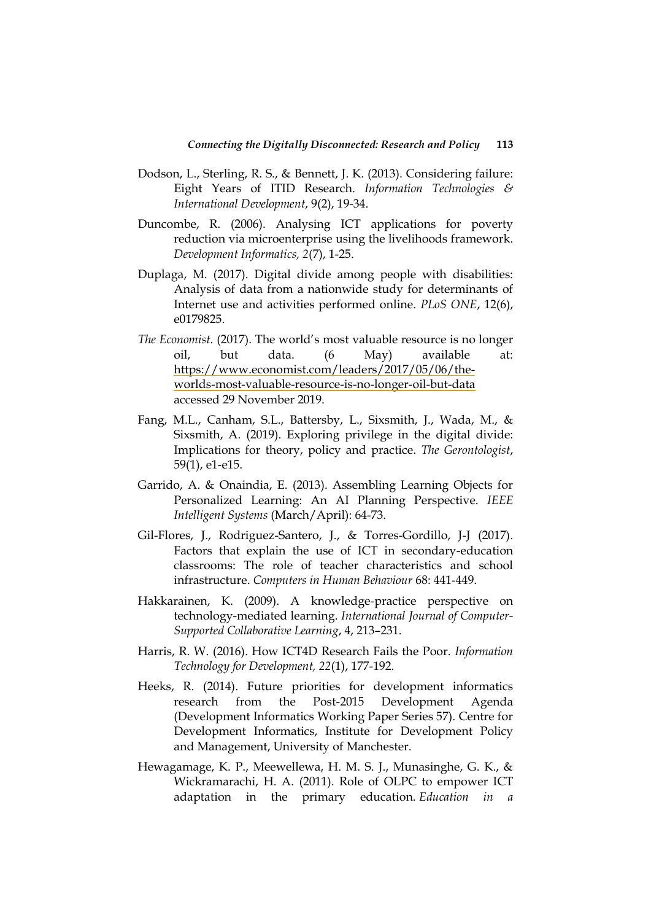- Dodson, L., Sterling, R. S., & Bennett, J. K. (2013). Considering failure: Eight Years of ITID Research. *Information Technologies & International Development*, 9(2), 19-34.
- Duncombe, R. (2006). Analysing ICT applications for poverty reduction via microenterprise using the livelihoods framework. *Development Informatics, 2*(7), 1-25.
- Duplaga, M. (2017). Digital divide among people with disabilities: Analysis of data from a nationwide study for determinants of Internet use and activities performed online. *PLoS ONE*, 12(6), e0179825.
- *The Economist.* (2017). The world"s most valuable resource is no longer oil, but data. (6 May) available at: [https://www.economist.com/leaders/2017/05/06/the](https://www.economist.com/leaders/2017/05/06/the-worlds-most-valuable-resource-is-no-longer-oil-but-data)[worlds-most-valuable-resource-is-no-longer-oil-but-data](https://www.economist.com/leaders/2017/05/06/the-worlds-most-valuable-resource-is-no-longer-oil-but-data) accessed 29 November 2019.
- Fang, M.L., Canham, S.L., Battersby, L., Sixsmith, J., Wada, M., & Sixsmith, A. (2019). Exploring privilege in the digital divide: Implications for theory, policy and practice. *The Gerontologist*, 59(1), e1-e15.
- Garrido, A. & Onaindia, E. (2013). Assembling Learning Objects for Personalized Learning: An AI Planning Perspective. *IEEE Intelligent Systems* (March/April): 64-73.
- Gil-Flores, J., Rodriguez-Santero, J., & Torres-Gordillo, J-J (2017). Factors that explain the use of ICT in secondary-education classrooms: The role of teacher characteristics and school infrastructure. *Computers in Human Behaviour* 68: 441-449.
- Hakkarainen, K. (2009). A knowledge-practice perspective on technology-mediated learning. *International Journal of Computer-Supported Collaborative Learning*, 4, 213–231.
- Harris, R. W. (2016). How ICT4D Research Fails the Poor. *Information Technology for Development, 22*(1), 177-192.
- Heeks, R. (2014). Future priorities for development informatics research from the Post-2015 Development Agenda (Development Informatics Working Paper Series 57). Centre for Development Informatics, Institute for Development Policy and Management, University of Manchester.
- Hewagamage, K. P., Meewellewa, H. M. S. J., Munasinghe, G. K., & Wickramarachi, H. A. (2011). Role of OLPC to empower ICT adaptation in the primary education. *Education in a*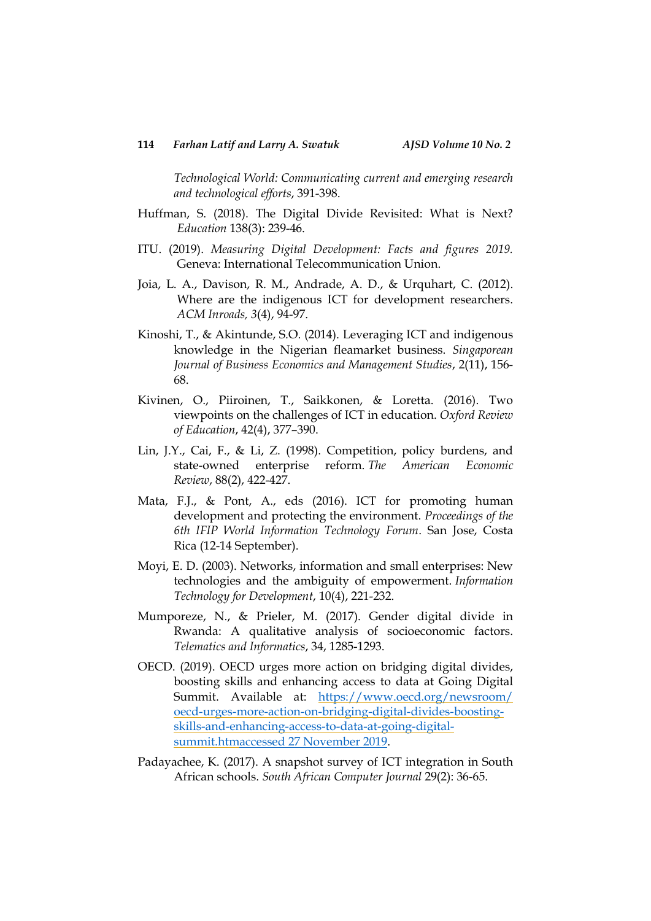*Technological World: Communicating current and emerging research and technological efforts*, 391-398.

- Huffman, S. (2018). The Digital Divide Revisited: What is Next? *Education* 138(3): 239-46.
- ITU. (2019). *Measuring Digital Development: Facts and figures 2019.*  Geneva: International Telecommunication Union.
- Joia, L. A., Davison, R. M., Andrade, A. D., & Urquhart, C. (2012). Where are the indigenous ICT for development researchers. *ACM Inroads, 3*(4), 94-97.
- Kinoshi, T., & Akintunde, S.O. (2014). Leveraging ICT and indigenous knowledge in the Nigerian fleamarket business. *Singaporean Journal of Business Economics and Management Studies*, 2(11), 156- 68.
- Kivinen, O., Piiroinen, T., Saikkonen, & Loretta. (2016). Two viewpoints on the challenges of ICT in education. *Oxford Review of Education*, 42(4), 377–390.
- Lin, J.Y., Cai, F., & Li, Z. (1998). Competition, policy burdens, and state-owned enterprise reform. *The American Economic Review*, 88(2), 422-427.
- Mata, F.J., & Pont, A., eds (2016). ICT for promoting human development and protecting the environment. *Proceedings of the 6th IFIP World Information Technology Forum*. San Jose, Costa Rica (12-14 September).
- Moyi, E. D. (2003). Networks, information and small enterprises: New technologies and the ambiguity of empowerment. *Information Technology for Development*, 10(4), 221-232.
- Mumporeze, N., & Prieler, M. (2017). Gender digital divide in Rwanda: A qualitative analysis of socioeconomic factors. *Telematics and Informatics*, 34, 1285-1293.
- OECD. (2019). OECD urges more action on bridging digital divides, boosting skills and enhancing access to data at Going Digital Summit. Available at: [https://www.oecd.org/newsroom/](https://www.oecd.org/newsroom/%20oecd-urges-more-action-on-bridging-digital-divides-boosting-skills-and-enhancing-access-to-data-at-going-digital-summit.htmaccessed%2027%20November%202019)  [oecd-urges-more-action-on-bridging-digital-divides-boosting](https://www.oecd.org/newsroom/%20oecd-urges-more-action-on-bridging-digital-divides-boosting-skills-and-enhancing-access-to-data-at-going-digital-summit.htmaccessed%2027%20November%202019)[skills-and-enhancing-access-to-data-at-going-digital](https://www.oecd.org/newsroom/%20oecd-urges-more-action-on-bridging-digital-divides-boosting-skills-and-enhancing-access-to-data-at-going-digital-summit.htmaccessed%2027%20November%202019)[summit.htmaccessed 27 November 2019.](https://www.oecd.org/newsroom/%20oecd-urges-more-action-on-bridging-digital-divides-boosting-skills-and-enhancing-access-to-data-at-going-digital-summit.htmaccessed%2027%20November%202019)
- Padayachee, K. (2017). A snapshot survey of ICT integration in South African schools. *South African Computer Journal* 29(2): 36-65.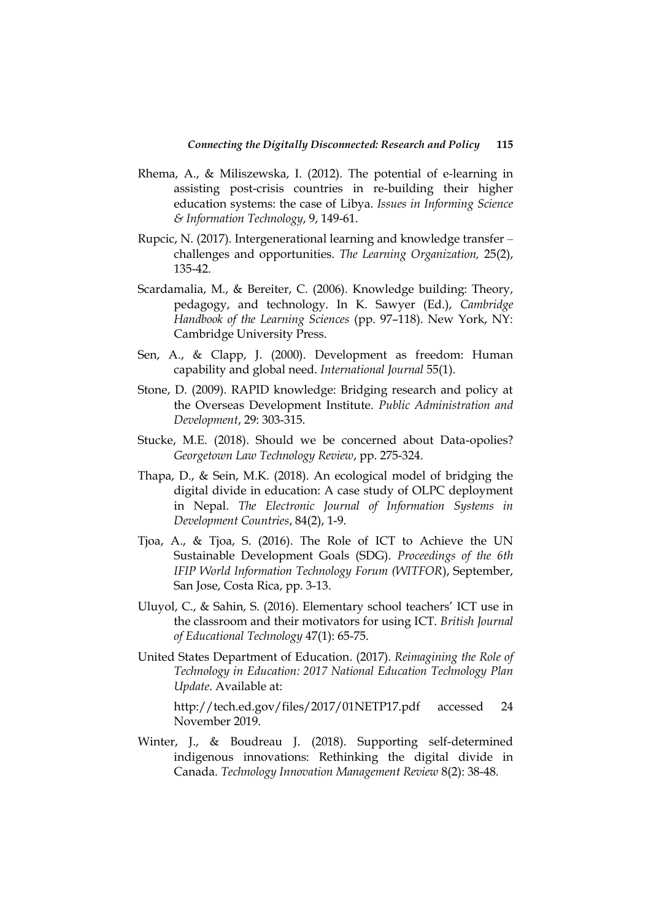- Rhema, A., & Miliszewska, I. (2012). The potential of e-learning in assisting post-crisis countries in re-building their higher education systems: the case of Libya. *Issues in Informing Science & Information Technology*, 9, 149-61.
- Rupcic, N. (2017). Intergenerational learning and knowledge transfer challenges and opportunities. *The Learning Organization,* 25(2), 135-42.
- Scardamalia, M., & Bereiter, C. (2006). Knowledge building: Theory, pedagogy, and technology. In K. Sawyer (Ed.), *Cambridge Handbook of the Learning Sciences* (pp. 97–118). New York, NY: Cambridge University Press.
- Sen, A., & Clapp, J. (2000). Development as freedom: Human capability and global need. *International Journal* 55(1).
- Stone, D. (2009). RAPID knowledge: Bridging research and policy at the Overseas Development Institute. *Public Administration and Development*, 29: 303-315.
- Stucke, M.E. (2018). Should we be concerned about Data-opolies? *Georgetown Law Technology Review*, pp. 275-324.
- Thapa, D., & Sein, M.K. (2018). An ecological model of bridging the digital divide in education: A case study of OLPC deployment in Nepal. *The Electronic Journal of Information Systems in Development Countries*, 84(2), 1-9.
- Tjoa, A., & Tjoa, S. (2016). The Role of ICT to Achieve the UN Sustainable Development Goals (SDG). *Proceedings of the 6th IFIP World Information Technology Forum (WITFOR*), September, San Jose, Costa Rica, pp. 3-13.
- Uluyol, C., & Sahin, S. (2016). Elementary school teachers" ICT use in the classroom and their motivators for using ICT. *British Journal of Educational Technology* 47(1): 65-75.
- United States Department of Education. (2017). *Reimagining the Role of Technology in Education: 2017 National Education Technology Plan Update*. Available at:

<http://tech.ed.gov/files/2017/01NETP17.pdf> accessed 24 November 2019.

Winter, J., & Boudreau J. (2018). Supporting self-determined indigenous innovations: Rethinking the digital divide in Canada. *Technology Innovation Management Review* 8(2): 38-48.